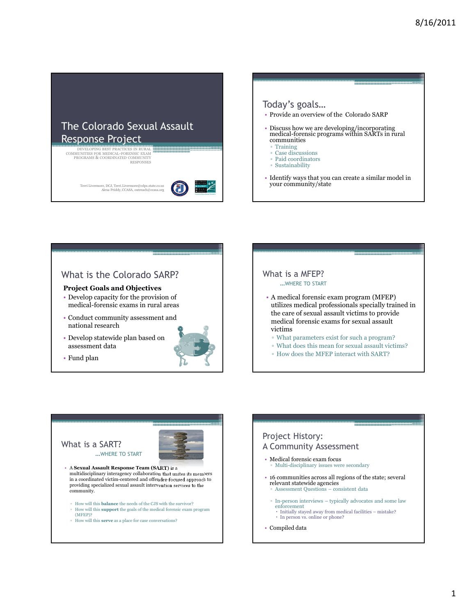







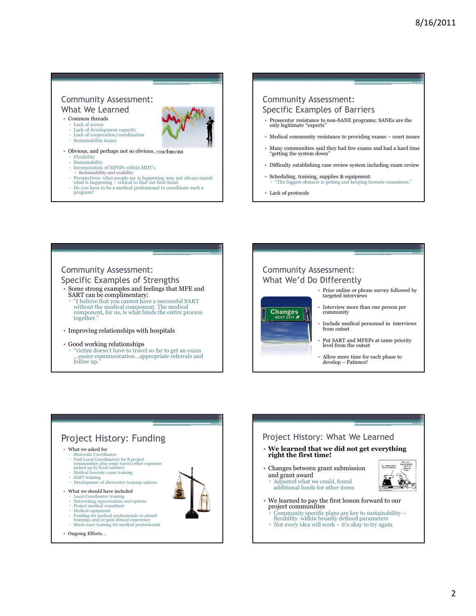#### Community Assessment: What We Learned

• Common threads



- 
- Lack of access Lack of development capacity
- Lack of cooperation/coordination ▫ Sustainability issues
- 
- Obvious, and perhaps not so obvious, conclusions
	- **Flexibility**
	- Sustainability ▫ Incorporation of MFEPs within MDT's
	- Sustainability and usability
	- Perspectives: what people say is happening may not always match what is happening critical to find out first-hand
	- Do you have to be a medical professional to coordinate such a
	- program?

#### Community Assessment: Specific Examples of Barriers

- Prosecutor resistance to non-SANE programs; SANEs are the only legitimate "experts"
- Medical community resistance to providing exams court issues
- Many communities said they had few exams and had a hard time "getting the system down"
- Difficulty establishing case review system including exam review
- Scheduling, training, supplies & equipment: ▫ "The biggest obstacle is getting and keeping forensic examiners."
- Lack of protocols

## Community Assessment:

Specific Examples of Strengths Some strong examples and feelings that MFE and SART can be complimentary:

- "I believe that you cannot have a successful SART without the medical component. The medical component, for us, is what binds the entire process together."
- Improving relationships with hospitals

#### • Good working relationships ▫ "victim doesn't have to travel so far to get an exam …easier communication…appropriate referrals and follow up."



Community Assessment:



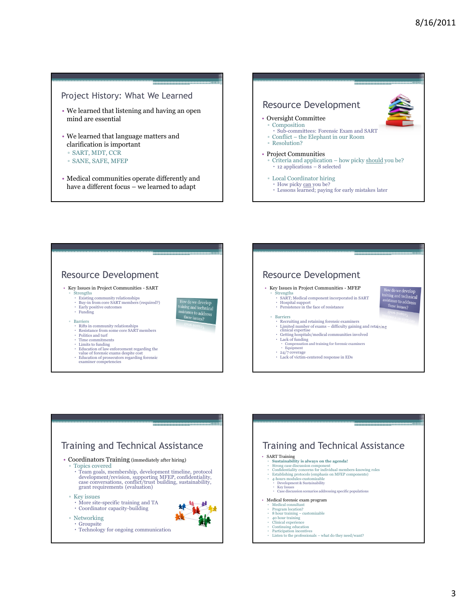#### Project History: What We Learned

- We learned that listening and having an open mind are essential
- We learned that language matters and clarification is important ▫ SART, MDT, CCR
- SANE, SAFE, MFEP
- 
- Medical communities operate differently and have a different focus – we learned to adapt









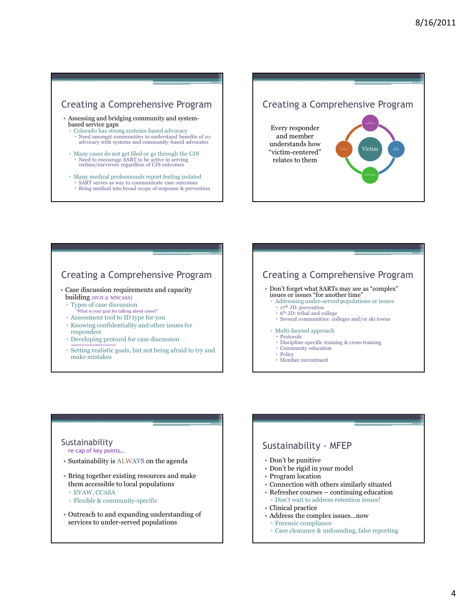## Creating a Comprehensive Program

- Assessing and bridging community and systembased service gaps
	- Colorado has strong systems-based advocacy
	- Need amongst communities to understand benefits of co-advocacy with systems and community-based advocates
	- Many cases do not get filed or go through the CJS Need to encourage SART to be active in serving victims/survivors regardless of CJS outcomes
	- Many medical professionals report feeling isolated
		- SART serves as way to communicate case outcomes
		- Bring medical into broad scope of response & prevention

# Creating a Comprehensive Program

Every responder and member understands how "victim-centered" relates to them



## Creating a Comprehensive Program

- Case discussion requirements and capacity building (SVJI @ MNCASA)
	- Types of case discussion
	- What is your goal for talking about cases?"
	- Assessment tool to ID type for you
	- Knowing confidentiality and other issues for responders
	- Developing protocol for case discussion
	- (adapted protocol guidelines handout) Setting realistic goals, but not being afraid to try and make mistakes

## Creating a Comprehensive Program

- Don't forget what SARTs may see as "complex" issues or issues "for another time"
- 
- Addressing under-served populations or issues  $\cdot$  17<sup>th</sup> JD: prevention
	- 6 th JD: tribal and college
	- Several communities: colleges and/or ski towns
- Multi-faceted approach
- $\cdot$  Protocols
- Discipline-specific training & cross-training Community education
- $\cdot$  Policy
	- $\cdot$  Member recruitment

### Sustainability

re-cap of key points…

- Sustainability is ALWAYS on the agenda
- Bring together existing resources and make them accessible to local populations
- EVAW, CCASA
- Flexible & community-specific
- Outreach to and expanding understanding of services to under-served populations

## Sustainability - MFEP • Don't be punitive • Don't be rigid in your model • Program location • Connection with others similarly situated • Refresher courses – continuing education ▫ Don't wait to address retention issues!

- Clinical practice
- Address the complex issues…now
- Forensic compliance
- Case clearance & unfounding, false reporting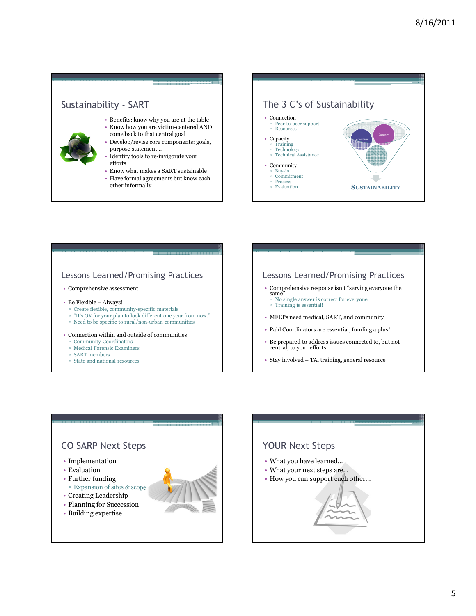

### The 3 C's of Sustainability • Connection ▫ Peer-to-peer support ▫ Resources • Capacity ▫ Training ▫ Technology ▫ Technical Assistance • Community ▫ Buy-in ▫ Commitment ▫ Process **SUSTAINABILITY** Community Connection

# Lessons Learned/Promising Practices

#### • Comprehensive assessment

- Be Flexible Always!
	- Create flexible, community-specific materials
- "It's OK for your plan to look different one year from now."
- Need to be specific to rural/non-urban communities

#### • Connection within and outside of communities

- Community Coordinators
- Medical Forensic Examiners
- SART members ▫ State and national resources



#### Lessons Learned/Promising Practices

- Comprehensive response isn't "serving everyone the same<sup>5</sup>
	- No single answer is correct for everyone ▫ Training is essential!
- MFEPs need medical, SART, and community
- Paid Coordinators are essential; funding a plus!
- Be prepared to address issues connected to, but not central, to your efforts
- Stay involved TA, training, general resource